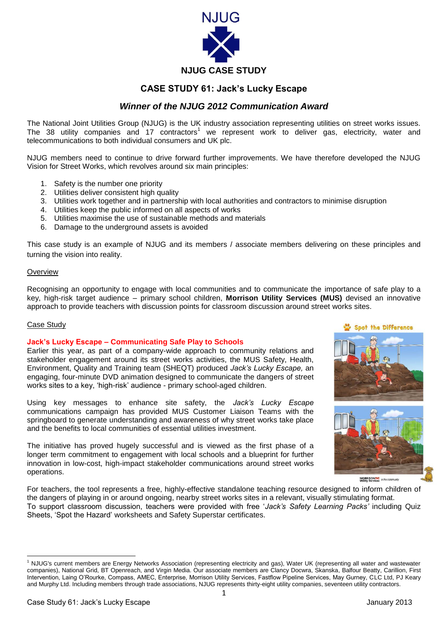

# **CASE STUDY 61: Jack's Lucky Escape**

## *Winner of the NJUG 2012 Communication Award*

The National Joint Utilities Group (NJUG) is the UK industry association representing utilities on street works issues. The 38 utility companies and 17 contractors<sup>1</sup> we represent work to deliver gas, electricity, water and telecommunications to both individual consumers and UK plc.

NJUG members need to continue to drive forward further improvements. We have therefore developed the NJUG Vision for Street Works, which revolves around six main principles:

- 1. Safety is the number one priority
- 2. Utilities deliver consistent high quality
- 3. Utilities work together and in partnership with local authorities and contractors to minimise disruption
- 4. Utilities keep the public informed on all aspects of works
- 5. Utilities maximise the use of sustainable methods and materials
- 6. Damage to the underground assets is avoided

This case study is an example of NJUG and its members / associate members delivering on these principles and turning the vision into reality.

## **Overview**

Recognising an opportunity to engage with local communities and to communicate the importance of safe play to a key, high-risk target audience – primary school children, **Morrison Utility Services (MUS)** devised an innovative approach to provide teachers with discussion points for classroom discussion around street works sites.

## Case Study

## **Jack's Lucky Escape – Communicating Safe Play to Schools**

Earlier this year, as part of a company-wide approach to community relations and stakeholder engagement around its street works activities, the MUS Safety, Health, Environment, Quality and Training team (SHEQT) produced *Jack's Lucky Escape,* an engaging, four-minute DVD animation designed to communicate the dangers of street works sites to a key, 'high-risk' audience - primary school-aged children.

Using key messages to enhance site safety, the *Jack's Lucky Escape*  communications campaign has provided MUS Customer Liaison Teams with the springboard to generate understanding and awareness of why street works take place and the benefits to local communities of essential utilities investment.

The initiative has proved hugely successful and is viewed as the first phase of a longer term commitment to engagement with local schools and a blueprint for further innovation in low-cost, high-impact stakeholder communications around street works operations.

## Spot the Difference





MORRISON<sub>EXE</sub> in the community

For teachers, the tool represents a free, highly-effective standalone teaching resource designed to inform children of the dangers of playing in or around ongoing, nearby street works sites in a relevant, visually stimulating format. To support classroom discussion, teachers were provided with free '*Jack's Safety Learning Packs'* including Quiz Sheets, 'Spot the Hazard' worksheets and Safety Superstar certificates.

 $\overline{a}$ <sup>1</sup> NJUG's current members are Energy Networks Association (representing electricity and gas), Water UK (representing all water and wastewater companies), National Grid, BT Openreach, and Virgin Media. Our associate members are Clancy Docwra, Skanska, Balfour Beatty, Carillion, First Intervention, Laing O'Rourke, Compass, AMEC, Enterprise, Morrison Utility Services, Fastflow Pipeline Services, May Gurney, CLC Ltd, PJ Keary and Murphy Ltd. Including members through trade associations, NJUG represents thirty-eight utility companies, seventeen utility contractors.